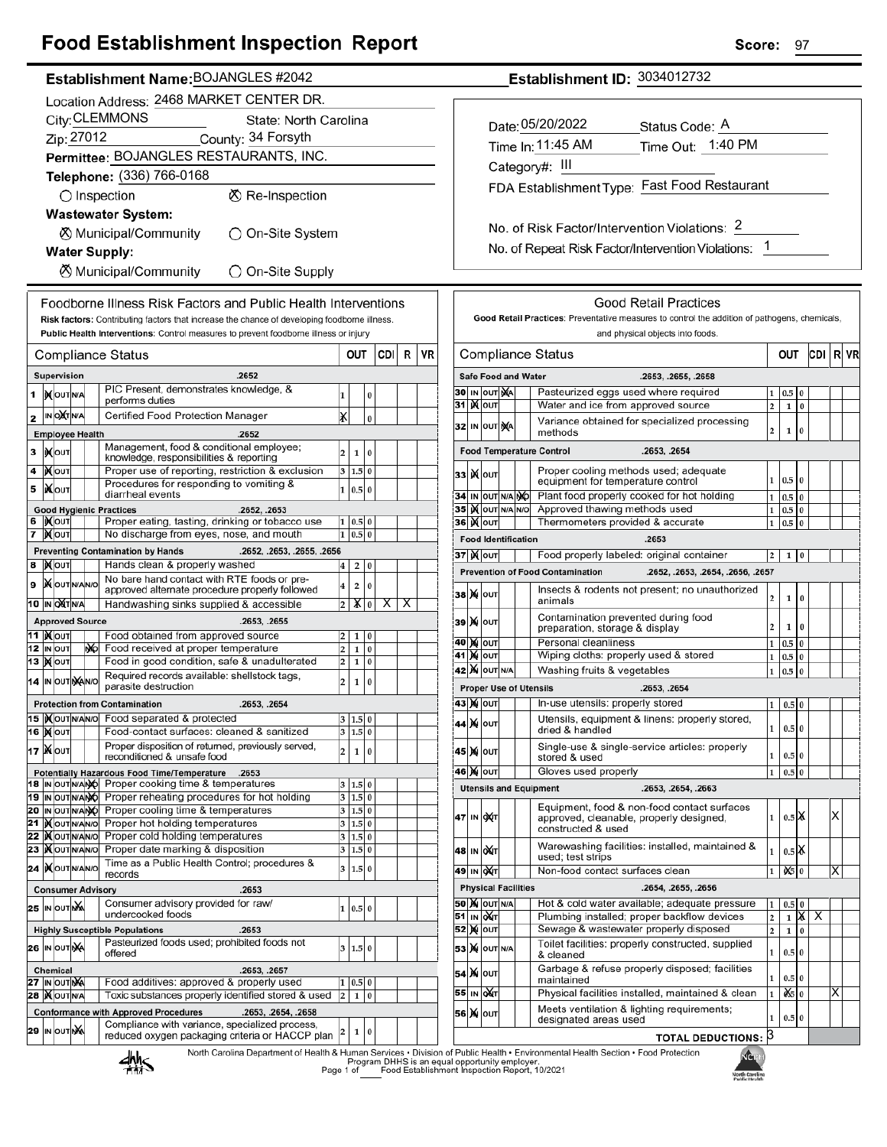## **Food Establishment Inspection Report**

| Establishment Name: BOJANGLES #2042 |
|-------------------------------------|
|                                     |

|                                         |  |                                              |  |     | Location Address: 2468 MARKET CENTER DR.                                                                                                                                             |                         |                        |          |      |   |    |
|-----------------------------------------|--|----------------------------------------------|--|-----|--------------------------------------------------------------------------------------------------------------------------------------------------------------------------------------|-------------------------|------------------------|----------|------|---|----|
| City: CLEMMONS<br>State: North Carolina |  |                                              |  |     |                                                                                                                                                                                      |                         |                        |          |      |   |    |
| Zip: 27012<br>County: 34 Forsyth        |  |                                              |  |     |                                                                                                                                                                                      |                         |                        |          |      |   |    |
|                                         |  |                                              |  |     | Permittee: BOJANGLES RESTAURANTS, INC.                                                                                                                                               |                         |                        |          |      |   |    |
|                                         |  |                                              |  |     | Telephone: (336) 766-0168                                                                                                                                                            |                         |                        |          |      |   |    |
|                                         |  |                                              |  |     | $\bigcirc$ Inspection<br>⊗ Re-Inspection                                                                                                                                             |                         |                        |          |      |   |    |
|                                         |  |                                              |  |     | <b>Wastewater System:</b>                                                                                                                                                            |                         |                        |          |      |   |    |
|                                         |  |                                              |  |     | ⊗ Municipal/Community<br>)On-Site System                                                                                                                                             |                         |                        |          |      |   |    |
|                                         |  |                                              |  |     | <b>Water Supply:</b>                                                                                                                                                                 |                         |                        |          |      |   |    |
|                                         |  |                                              |  |     | ⊗ Municipal/Community<br>◯ On-Site Supply                                                                                                                                            |                         |                        |          |      |   |    |
|                                         |  |                                              |  |     | Foodborne Illness Risk Factors and Public Health Interventions                                                                                                                       |                         |                        |          |      |   |    |
|                                         |  |                                              |  |     | Risk factors: Contributing factors that increase the chance of developing foodborne illness.<br>Public Health Interventions: Control measures to prevent foodborne illness or injury |                         |                        |          |      |   |    |
|                                         |  |                                              |  |     | Compliance Status                                                                                                                                                                    |                         | OUT                    |          | CDII | R | VR |
|                                         |  | Supervision                                  |  |     | .2652                                                                                                                                                                                |                         |                        |          |      |   |    |
| 1                                       |  | <b>IN</b> OUTINA                             |  |     | PIC Present, demonstrates knowledge, &<br>performs duties                                                                                                                            | 1                       |                        | 0        |      |   |    |
| 2                                       |  | IN OUT N/A                                   |  |     | Certified Food Protection Manager                                                                                                                                                    | x                       |                        | 0        |      |   |    |
|                                         |  | <b>Employee Health</b>                       |  |     | .2652                                                                                                                                                                                |                         |                        |          |      |   |    |
| 3                                       |  | <b>IX</b> OUT                                |  |     | Management, food & conditional employee;                                                                                                                                             | 2                       | 1                      | 0        |      |   |    |
| 4                                       |  | <b>KOUT</b>                                  |  |     | knowledge, responsibilities & reporting<br>Proper use of reporting, restriction & exclusion                                                                                          | 3                       | 1.5                    | $\bf{0}$ |      |   |    |
| 5                                       |  | <b>іX</b> оυт                                |  |     | Procedures for responding to vomiting &                                                                                                                                              | 1                       | 0.5                    | $\bf{0}$ |      |   |    |
|                                         |  |                                              |  |     | diarrheal events<br><b>Good Hygienic Practices</b><br>.2652, .2653                                                                                                                   |                         |                        |          |      |   |    |
| 6                                       |  | IXOUT                                        |  |     | Proper eating, tasting, drinking or tobacco use                                                                                                                                      | 1                       | 0.5 0                  |          |      |   |    |
| 7                                       |  | ∣ <b>)∢</b>  оυт                             |  |     | No discharge from eyes, nose, and mouth                                                                                                                                              | 1                       | 0.5                    | 0        |      |   |    |
|                                         |  |                                              |  |     | <b>Preventing Contamination by Hands</b><br>.2652, .2653, .2655, .2656                                                                                                               |                         |                        |          |      |   |    |
| 8                                       |  | <b>XOUT</b>                                  |  |     | Hands clean & properly washed<br>No bare hand contact with RTE foods or pre-                                                                                                         | 4                       | 2                      | 0        |      |   |    |
| 9                                       |  | <b>X</b> OUTNANO                             |  |     | approved alternate procedure properly followed                                                                                                                                       | 4                       | 2                      | 0        |      |   |    |
|                                         |  | 10 IN OXT N/A                                |  |     | Handwashing sinks supplied & accessible                                                                                                                                              | 2                       | XI                     | 0        | x    | x |    |
|                                         |  | <b>Approved Source</b><br>11  ) <b>(</b> ouт |  |     | .2653, .2655<br>Food obtained from approved source                                                                                                                                   | 2                       | 1                      | 0        |      |   |    |
|                                         |  | 12 IN OUT                                    |  | NO. | Food received at proper temperature                                                                                                                                                  | 2                       | 1                      | $\bf{0}$ |      |   |    |
|                                         |  | 13   <b>)(</b>  оит                          |  |     | Food in good condition, safe & unadulterated                                                                                                                                         | 2                       | 1                      | 0        |      |   |    |
| 14                                      |  | IN OUT NANO                                  |  |     | Required records available: shellstock tags,<br>parasite destruction                                                                                                                 | 2                       | 1                      | 0        |      |   |    |
|                                         |  |                                              |  |     | <b>Protection from Contamination</b><br>.2653, .2654                                                                                                                                 |                         |                        |          |      |   |    |
|                                         |  | 15   OUTNANO                                 |  |     | Food separated & protected<br>Food-contact surfaces: cleaned & sanitized                                                                                                             |                         | 3   1.5   0<br>3 1.5 0 |          |      |   |    |
|                                         |  | 16 <b>Mout</b><br>17   Χουτ                  |  |     | Proper disposition of returned, previously served,                                                                                                                                   |                         |                        |          |      |   |    |
|                                         |  |                                              |  |     | reconditioned & unsafe food                                                                                                                                                          | 2                       | 1                      | 0        |      |   |    |
|                                         |  | 18 IN OUT N/ANO                              |  |     | Potentially Hazardous Food Time/Temperature<br>.2653<br>Proper cooking time & temperatures                                                                                           | 3                       | 1.5                    | $\bf{0}$ |      |   |    |
| 19                                      |  | IN OUT N/ANO                                 |  |     | Proper reheating procedures for hot holding                                                                                                                                          | 3                       | 1.5 0                  |          |      |   |    |
| 20                                      |  | IN OUT N/ANO                                 |  |     | Proper cooling time & temperatures                                                                                                                                                   | 3                       | 1.5 0                  |          |      |   |    |
| 21<br>22                                |  | <b>IX</b> OUTNANO<br><b>IX</b> OUTNANO       |  |     | Proper hot holding temperatures<br>Proper cold holding temperatures                                                                                                                  | 3<br>3                  | 1.5 0<br>1.5 0         |          |      |   |    |
| 23                                      |  | <b>IX</b> OUTINANO                           |  |     | Proper date marking & disposition                                                                                                                                                    | 3                       | 1.5 0                  |          |      |   |    |
| 24                                      |  | <b>IXOUTNANO</b>                             |  |     | Time as a Public Health Control; procedures &<br>records                                                                                                                             | 3                       | 1.5 0                  |          |      |   |    |
|                                         |  |                                              |  |     | <b>Consumer Advisory</b><br>.2653                                                                                                                                                    |                         |                        |          |      |   |    |
|                                         |  | 25 IN OUT NA                                 |  |     | Consumer advisory provided for raw/                                                                                                                                                  | 1                       | 0.5 0                  |          |      |   |    |
|                                         |  |                                              |  |     | undercooked foods<br><b>Highly Susceptible Populations</b><br>.2653                                                                                                                  |                         |                        |          |      |   |    |
|                                         |  | 26 IN OUT NA                                 |  |     | Pasteurized foods used; prohibited foods not                                                                                                                                         | 3                       | 1.5 0                  |          |      |   |    |
|                                         |  |                                              |  |     | offered                                                                                                                                                                              |                         |                        |          |      |   |    |
| 27                                      |  | <b>Chemical</b><br>IN OUT NA                 |  |     | .2653, .2657<br>Food additives: approved & properly used                                                                                                                             | 1                       | 0.5                    | 0        |      |   |    |
| 28                                      |  | <b>XOUTNA</b>                                |  |     | Toxic substances properly identified stored & used                                                                                                                                   | $\overline{\mathbf{c}}$ | 1                      | $\bf{0}$ |      |   |    |
|                                         |  |                                              |  |     | <b>Conformance with Approved Procedures</b><br>.2653, .2654, .2658                                                                                                                   |                         |                        |          |      |   |    |
|                                         |  | 29 IN OUT NA                                 |  |     | Compliance with variance, specialized process,<br>reduced oxygen packaging criteria or HACCP plan                                                                                    | 2                       | 1                      | 0        |      |   |    |
|                                         |  |                                              |  |     |                                                                                                                                                                                      |                         |                        |          |      |   |    |

Establishment ID: 3034012732

| Date: 05/20/2022                              | Status Code: A                               |  |
|-----------------------------------------------|----------------------------------------------|--|
| Time In: 11:45 AM                             | Time Out: 1:40 PM                            |  |
| Category#: III                                |                                              |  |
|                                               | FDA Establishment Type: Fast Food Restaurant |  |
|                                               |                                              |  |
| No. of Risk Factor/Intervention Violations: 2 |                                              |  |

No. of Repeat Risk Factor/Intervention Violations: 1

|                                                     |                   |                   |     |                            | Good Retail Practices<br>Good Retail Practices: Preventative measures to control the addition of pathogens, chemicals, |                |              |          |     |   |    |
|-----------------------------------------------------|-------------------|-------------------|-----|----------------------------|------------------------------------------------------------------------------------------------------------------------|----------------|--------------|----------|-----|---|----|
|                                                     |                   |                   |     |                            | and physical objects into foods.                                                                                       |                |              |          |     |   |    |
|                                                     | Compliance Status |                   |     |                            |                                                                                                                        |                | OUT          |          | CDI | R | VR |
|                                                     |                   |                   |     | <b>Safe Food and Water</b> | .2653, .2655, .2658                                                                                                    |                |              |          |     |   |    |
|                                                     |                   | 30   IN  OUT   MA |     |                            | Pasteurized eggs used where required                                                                                   | 1              | 0.5          | 0        |     |   |    |
| 31                                                  |                   | I)( out           |     |                            | Water and ice from approved source                                                                                     | $\overline{a}$ | 1            | $\bf{0}$ |     |   |    |
| 32                                                  |                   | IN OUT NA         |     |                            | Variance obtained for specialized processing<br>methods                                                                | $\overline{2}$ | $\mathbf{1}$ | 0        |     |   |    |
|                                                     |                   |                   |     |                            | <b>Food Temperature Control</b><br>.2653, .2654                                                                        |                |              |          |     |   |    |
| 33                                                  | K                 | OUT               |     |                            | Proper cooling methods used; adequate<br>equipment for temperature control                                             | 1              | 0.5          | 0        |     |   |    |
| 34                                                  | IN                | <b>OUTINA</b>     |     | NÓ                         | Plant food properly cooked for hot holding                                                                             | $\mathbf{1}$   | 0.5          | 0        |     |   |    |
| 35                                                  |                   | <b>K</b> out      | N/A | N/O                        | Approved thawing methods used                                                                                          | 1              | 0.5          | 0        |     |   |    |
| 36                                                  | K                 | OUT               |     |                            | Thermometers provided & accurate                                                                                       | $\mathbf{1}$   | 0.5          | 0        |     |   |    |
|                                                     |                   |                   |     | <b>Food Identification</b> | .2653                                                                                                                  |                |              |          |     |   |    |
|                                                     |                   | 37∣)(∥о∪т         |     |                            | Food properly labeled: original container                                                                              | 2              | 1            | 0        |     |   |    |
|                                                     |                   |                   |     |                            | <b>Prevention of Food Contamination</b><br>.2652, .2653, .2654, .2656, .2657                                           |                |              |          |     |   |    |
| 38                                                  | M                 | OUT               |     |                            | Insects & rodents not present; no unauthorized<br>animals                                                              | 2              | 1            | 0        |     |   |    |
| 39                                                  | M                 | Ιουτ              |     |                            | Contamination prevented during food<br>preparation, storage & display                                                  | 2              | 1            | 0        |     |   |    |
| 40                                                  | M                 | OUT               |     |                            | Personal cleanliness                                                                                                   | 1              | 0.5          | 0        |     |   |    |
| 41                                                  | M                 | OUT               |     |                            | Wiping cloths: properly used & stored                                                                                  | 1              | 0.5          | 0        |     |   |    |
| <b>42  M</b> OUT N/A<br>Washing fruits & vegetables |                   |                   |     |                            |                                                                                                                        |                |              |          |     |   |    |
|                                                     |                   |                   |     |                            | <b>Proper Use of Utensils</b><br>.2653, .2654                                                                          |                |              |          |     |   |    |
|                                                     |                   | 43  )X   OUT      |     |                            | In-use utensils: properly stored                                                                                       | $\mathbf{1}$   | 0.5          | 0        |     |   |    |
| 44                                                  | M                 | OUT               |     |                            | Utensils, equipment & linens: properly stored,<br>dried & handled                                                      | 1              | 0.5          | $\bf{0}$ |     |   |    |
| 45                                                  | M                 | OUT               |     |                            | Single-use & single-service articles: properly<br>stored & used                                                        | 1              | 0.5          | $\bf{0}$ |     |   |    |
| 46                                                  |                   | <b>X</b> OUT      |     |                            | Gloves used properly                                                                                                   | 1              | 0.5          | 0        |     |   |    |
|                                                     |                   |                   |     |                            | <b>Utensils and Equipment</b><br>.2653, .2654, .2663                                                                   |                |              |          |     |   |    |
| 47                                                  | IN                | ОХТ               |     |                            | Equipment, food & non-food contact surfaces<br>approved, cleanable, properly designed,<br>constructed & used           | 1              | 0.5 I.X      |          |     | x |    |
| 48                                                  | IN                | <b>DAT</b>        |     |                            | Warewashing facilities: installed, maintained &<br>used; test strips                                                   | 1              | $0.5$ $\chi$ |          |     |   |    |
| 49                                                  |                   | IN OUT            |     |                            | Non-food contact surfaces clean                                                                                        | 1              | û\$          | $\Omega$ |     |   |    |
|                                                     |                   |                   |     | <b>Physical Facilities</b> | .2654, .2655, .2656                                                                                                    |                |              |          |     |   |    |
| 50                                                  |                   | <b>X</b> OUTINA   |     |                            | Hot & cold water available; adequate pressure                                                                          | 1              | 0.5          | $\bf{0}$ |     |   |    |
| 51                                                  | IN                | <b>QNT</b>        |     |                            | Plumbing installed; proper backflow devices                                                                            | 2              | 1            | X        | х   |   |    |
| 52                                                  | M                 | OUT               |     |                            | Sewage & wastewater properly disposed                                                                                  | $\overline{2}$ | 1            | 0        |     |   |    |
| 53                                                  | M                 | OUT N/A           |     |                            | Toilet facilities: properly constructed, supplied<br>& cleaned                                                         | 1              | $_{0.5}$     | $\bf{0}$ |     |   |    |
| 54                                                  | M                 | OUT               |     |                            | Garbage & refuse properly disposed; facilities<br>maintained                                                           | 1              | 0.5          | $\bf{0}$ |     |   |    |
| 55                                                  | IN                | ОДТ               |     |                            | Physical facilities installed, maintained & clean                                                                      | 1              | Ò.S          | 0        |     | Х |    |
| 56                                                  | M                 | OUT               |     |                            | Meets ventilation & lighting requirements;<br>designated areas used                                                    | 1              | 0.5          | $\bf{0}$ |     |   |    |
|                                                     |                   |                   |     |                            | <b>TOTAL DEDUCTIONS:</b>                                                                                               | 3              |              |          |     |   |    |



North Carolina Department of Health & Human Services • Division of Public Health • Environmental Health Section • Food Protection<br>Program DHHS is an equal opportunity employer.<br>Food Establishment Inspection Report, 10/2021

Г

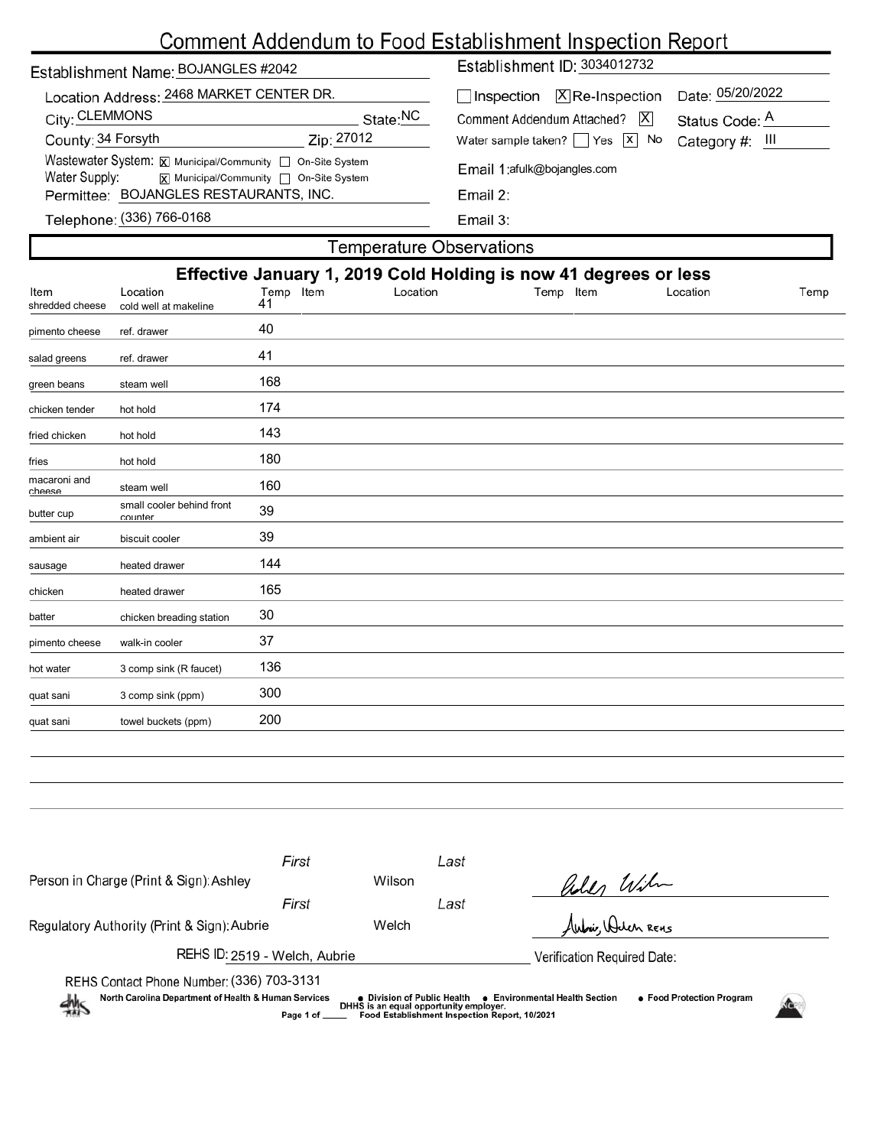# Comment Addendum to Food Establishment Inspection Report

| Establishment Name: BOJANGLES #2042                                                                                                    | Establishment ID: 3034012732                                                                               |  |  |  |  |  |
|----------------------------------------------------------------------------------------------------------------------------------------|------------------------------------------------------------------------------------------------------------|--|--|--|--|--|
| Location Address: 2468 MARKET CENTER DR.<br>City: CLEMMONS<br>State:NC                                                                 | Date: 05/20/2022<br>$\Box$ Inspection $\Box$ Re-Inspection<br>$ \mathsf{X} $<br>Comment Addendum Attached? |  |  |  |  |  |
| County: 34 Forsyth<br>Zip: 27012                                                                                                       | Status Code: A<br>Water sample taken? $\Box$ Yes $\boxed{x}$ No<br>Category #: III                         |  |  |  |  |  |
| Wastewater System: X Municipal/Community   On-Site System<br>Water Supply:<br>$\overline{X}$ Municipal/Community $\Box$ On-Site System | Email 1:afulk@bojangles.com                                                                                |  |  |  |  |  |
| Permittee: BOJANGLES RESTAURANTS, INC.                                                                                                 | Email 2:                                                                                                   |  |  |  |  |  |
| Telephone: (336) 766-0168                                                                                                              | Email 3:                                                                                                   |  |  |  |  |  |
| Temnerature Observations.                                                                                                              |                                                                                                            |  |  |  |  |  |

|                                                                  |                                      |                 | <b>Temperature Observations</b> |           |          |      |  |  |
|------------------------------------------------------------------|--------------------------------------|-----------------|---------------------------------|-----------|----------|------|--|--|
| Effective January 1, 2019 Cold Holding is now 41 degrees or less |                                      |                 |                                 |           |          |      |  |  |
| ltem<br>shredded cheese                                          | Location<br>cold well at makeline    | Temp Item<br>41 | Location                        | Temp Item | Location | Temp |  |  |
| pimento cheese                                                   | ref. drawer                          | 40              |                                 |           |          |      |  |  |
| salad greens                                                     | ref. drawer                          | 41              |                                 |           |          |      |  |  |
| green beans                                                      | steam well                           | 168             |                                 |           |          |      |  |  |
| chicken tender                                                   | hot hold                             | 174             |                                 |           |          |      |  |  |
| fried chicken                                                    | hot hold                             | 143             |                                 |           |          |      |  |  |
| fries                                                            | hot hold                             | 180             |                                 |           |          |      |  |  |
| macaroni and<br>cheese                                           | steam well                           | 160             |                                 |           |          |      |  |  |
| butter cup                                                       | small cooler behind front<br>counter | 39              |                                 |           |          |      |  |  |
| ambient air                                                      | biscuit cooler                       | 39              |                                 |           |          |      |  |  |
| sausage                                                          | heated drawer                        | 144             |                                 |           |          |      |  |  |
| chicken                                                          | heated drawer                        | 165             |                                 |           |          |      |  |  |
| batter                                                           | chicken breading station             | 30              |                                 |           |          |      |  |  |
| pimento cheese                                                   | walk-in cooler                       | 37              |                                 |           |          |      |  |  |
| hot water                                                        | 3 comp sink (R faucet)               | 136             |                                 |           |          |      |  |  |
|                                                                  | 3 comp sink (ppm)                    | 300             |                                 |           |          |      |  |  |
|                                                                  | towel buckets (ppm)                  | 200             |                                 |           |          |      |  |  |
| quat sani<br>quat sani                                           |                                      |                 |                                 |           |          |      |  |  |

| Person in Charge (Print & Sign): Ashley                                                                | First                                                                                                        | Wilson | Last |                             |  |  |  |
|--------------------------------------------------------------------------------------------------------|--------------------------------------------------------------------------------------------------------------|--------|------|-----------------------------|--|--|--|
|                                                                                                        | First                                                                                                        |        | Last | Kiles Wilm                  |  |  |  |
| Regulatory Authority (Print & Sign): Aubrie                                                            |                                                                                                              | Welch  |      | Aubur, Walen REHS           |  |  |  |
| REHS ID: 2519 - Welch, Aubrie                                                                          |                                                                                                              |        |      | Verification Required Date: |  |  |  |
| REHS Contact Phone Number: (336) 703-3131<br>North Carolina Department of Health & Human Services<br>熱 | • Food Protection Program<br>● Environmental Health Section<br>Food Establishment Inspection Report, 10/2021 |        |      |                             |  |  |  |